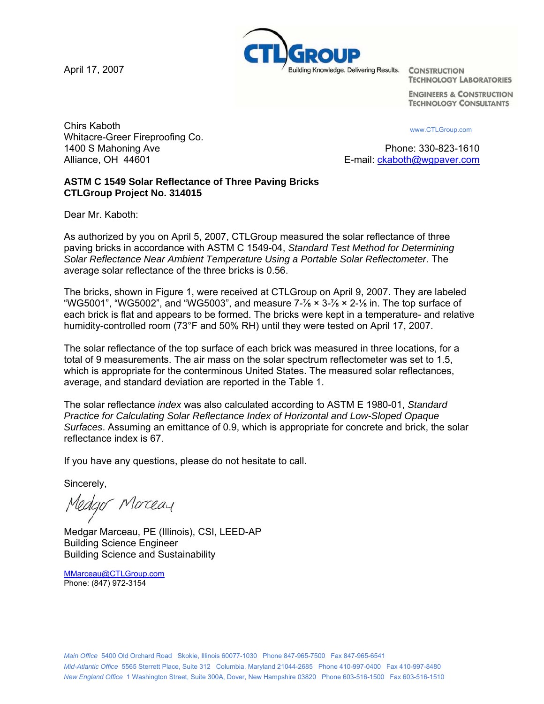April 17, 2007



**TECHNOLOGY LABORATORIES** 

**ENGINEERS & CONSTRUCTION TECHNOLOGY CONSULTANTS** 

**Chirs Kaboth** www.CTLGroup.com Whitacre-Greer Fireproofing Co. 1400 S Mahoning Ave **Phone: 330-823-1610** Alliance, OH 44601 **E-mail:** ckaboth@wgpaver.com

## **ASTM C 1549 Solar Reflectance of Three Paving Bricks CTLGroup Project No. 314015**

Dear Mr. Kaboth:

As authorized by you on April 5, 2007, CTLGroup measured the solar reflectance of three paving bricks in accordance with ASTM C 1549-04, *Standard Test Method for Determining Solar Reflectance Near Ambient Temperature Using a Portable Solar Reflectometer*. The average solar reflectance of the three bricks is 0.56.

The bricks, shown in Figure 1, were received at CTLGroup on April 9, 2007. They are labeled "WG5001", "WG5002", and "WG5003", and measure  $7\frac{1}{8} \times 3\frac{1}{8} \times 2\frac{1}{8}$  in. The top surface of each brick is flat and appears to be formed. The bricks were kept in a temperature- and relative humidity-controlled room (73°F and 50% RH) until they were tested on April 17, 2007.

The solar reflectance of the top surface of each brick was measured in three locations, for a total of 9 measurements. The air mass on the solar spectrum reflectometer was set to 1.5, which is appropriate for the conterminous United States. The measured solar reflectances, average, and standard deviation are reported in the Table 1.

The solar reflectance *index* was also calculated according to ASTM E 1980-01, *Standard Practice for Calculating Solar Reflectance Index of Horizontal and Low-Sloped Opaque Surfaces*. Assuming an emittance of 0.9, which is appropriate for concrete and brick, the solar reflectance index is 67.

If you have any questions, please do not hesitate to call.

Sincerely,

Medgor Morceau

Medgar Marceau, PE (Illinois), CSI, LEED-AP Building Science Engineer Building Science and Sustainability

[MMarceau@CTLGroup.com](mailto:MMarceau@CTLGroup.com) Phone: (847) 972-3154